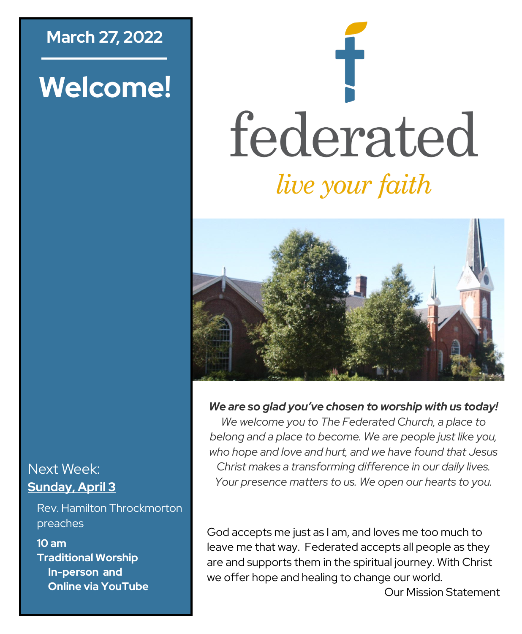### **March 27, 2022**

# **Welcome!**

# federated *live your faith*



*We are so glad you've chosen to worship with us today!*

*We welcome you to The Federated Church, a place to belong and a place to become. We are people just like you, who hope and love and hurt, and we have found that Jesus Christ makes a transforming difference in our daily lives. Your presence matters to us. We open our hearts to you.*

God accepts me just as I am, and loves me too much to leave me that way. Federated accepts all people as they are and supports them in the spiritual journey. With Christ we offer hope and healing to change our world.

Next Week: **Sunday, April 3**

Rev. Hamilton Throckmorton preaches

**10 am Traditional Worship In-person and Online via YouTube**

Our Mission Statement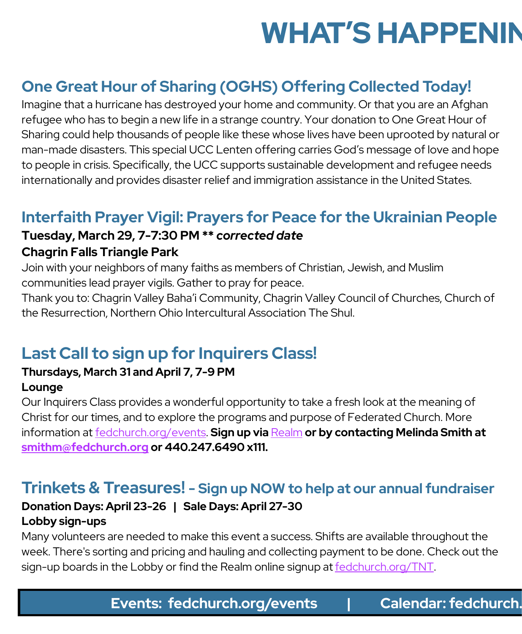# **WHAT'S HAPPENIN**

### **One Great Hour of Sharing (OGHS) Offering Collected Today!**

Imagine that a hurricane has destroyed your home and community. Or that you are an Afghan refugee who has to begin a new life in a strange country. Your donation to One Great Hour of Sharing could help thousands of people like these whose lives have been uprooted by natural or man-made disasters. This special UCC Lenten offering carries God's message of love and hope to people in crisis. Specifically, the UCC supports sustainable development and refugee needs internationally and provides disaster relief and immigration assistance in the United States.

### **Interfaith Prayer Vigil: Prayers for Peace for the Ukrainian People**

# **Tuesday, March 29, 7-7:30 PM \*\*** *corrected date*

### **Chagrin Falls Triangle Park**

Join with your neighbors of many faiths as members of Christian, Jewish, and Muslim communities lead prayer vigils. Gather to pray for peace.

Thank you to: Chagrin Valley Baha'i Community, Chagrin Valley Council of Churches, Church of the Resurrection, Northern Ohio Intercultural Association The Shul.

### **Last Call to sign up for Inquirers Class!**

#### **Thursdays, March 31 and April 7, 7-9 PM Lounge**

Our Inquirers Class provides a wonderful opportunity to take a fresh look at the meaning of Christ for our times, and to explore the programs and purpose of Federated Church. More information at [fedchurch.org/events.](https://www.fedchurch.org/events) **Sign up via** [Realm](https://fedchurch.us11.list-manage.com/track/click?u=de71f8801bec1a38fd818948b&id=db5cab11fe&e=0267c020e9) **or by contacting Melinda Smith at [smithm@fedchurch.org](mailto:smithm@fedchurch.org) or 440.247.6490 x111.**

### **Trinkets & Treasures! - Sign up NOW to help at our annual fundraiser**

### **Donation Days: April 23-26 | Sale Days: April 27-30 Lobby sign-ups**

Many volunteers are needed to make this event a success. Shifts are available throughout the week. There's sorting and pricing and hauling and collecting payment to be done. Check out the sign-up boards in the Lobby or find the Realm online signup at [fedchurch.org/TNT.](http://www.fedchurch.org/TNT)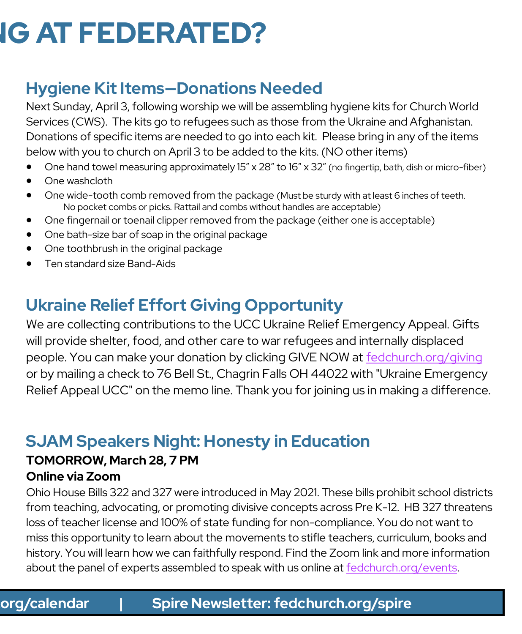# **IG AT FEDERATED?**

### **Hygiene Kit Items—Donations Needed**

Next Sunday, April 3, following worship we will be assembling hygiene kits for Church World Services (CWS). The kits go to refugees such as those from the Ukraine and Afghanistan. Donations of specific items are needed to go into each kit. Please bring in any of the items below with you to church on April 3 to be added to the kits. (NO other items)

- One hand towel measuring approximately 15" x 28" to 16" x 32" (no fingertip, bath, dish or micro-fiber)
- One washcloth
- One wide-tooth comb removed from the package (Must be sturdy with at least 6 inches of teeth. No pocket combs or picks. Rattail and combs without handles are acceptable)
- One fingernail or toenail clipper removed from the package (either one is acceptable)
- One bath-size bar of soap in the original package
- One toothbrush in the original package
- Ten standard size Band-Aids

## **Ukraine Relief Effort Giving Opportunity**

We are collecting contributions to the UCC Ukraine Relief Emergency Appeal. Gifts will provide shelter, food, and other care to war refugees and internally displaced people. You can make your donation by clicking GIVE NOW at [fedchurch.org/giving](https://www.fedchurch.org/giving) or by mailing a check to 76 Bell St., Chagrin Falls OH 44022 with "Ukraine Emergency Relief Appeal UCC" on the memo line. Thank you for joining us in making a difference.

### **SJAM Speakers Night: Honesty in Education**

# **TOMORROW, March 28, 7 PM**

### **Online via Zoom**

Ohio House Bills 322 and 327 were introduced in May 2021. These bills prohibit school districts from teaching, advocating, or promoting divisive concepts across Pre K-12. HB 327 threatens loss of teacher license and 100% of state funding for non-compliance. You do not want to miss this opportunity to learn about the movements to stifle teachers, curriculum, books and history. You will learn how we can faithfully respond. Find the Zoom link and more information about the panel of experts assembled to speak with us online at [fedchurch.org/events.](http://www.fedchurch.org/events)